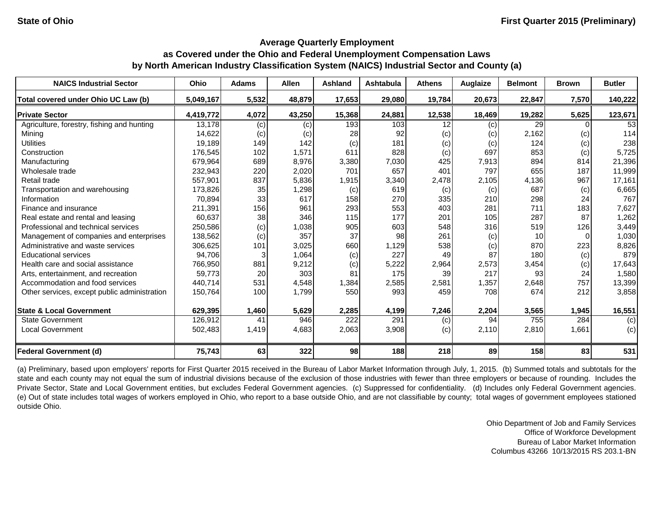| <b>NAICS Industrial Sector</b>               | Ohio      | <b>Adams</b> | <b>Allen</b> | <b>Ashland</b> | <b>Ashtabula</b> | <b>Athens</b> | Auglaize | <b>Belmont</b>  | <b>Brown</b> | <b>Butler</b> |
|----------------------------------------------|-----------|--------------|--------------|----------------|------------------|---------------|----------|-----------------|--------------|---------------|
| Total covered under Ohio UC Law (b)          | 5,049,167 | 5,532        | 48,879       | 17,653         | 29,080           | 19,784        | 20,673   | 22,847          | 7,570        | 140,222       |
| <b>Private Sector</b>                        | 4.419.772 | 4,072        | 43,250       | 15,368         | 24,881           | 12,538        | 18,469   | 19,282          | 5,625        | 123,671       |
| Agriculture, forestry, fishing and hunting   | 13,178    | (c)          | (c)          | 193            | 103              | 12            | (c)      | 29              |              | 53            |
| Mining                                       | 14,622    | (c)          | (c)          | 28             | 92               | (c)           | (c)      | 2,162           | (c)          | 114           |
| <b>Utilities</b>                             | 19,189    | 149          | 142          | (c)            | 181              | (c)           | (c)      | 124             | (c)          | 238           |
| Construction                                 | 176,545   | 102          | 1,571        | 611            | 828              | (c)           | 697      | 853             | (c)          | 5,725         |
| Manufacturing                                | 679,964   | 689          | 8,976        | 3,380          | 7,030            | 425           | 7,913    | 894             | 814          | 21,396        |
| Wholesale trade                              | 232,943   | 220          | 2,020        | 701            | 657              | 401           | 797      | 655             | 187          | 11,999        |
| Retail trade                                 | 557,901   | 837          | 5,836        | 1,915          | 3,340            | 2,478         | 2,105    | 4,136           | 967          | 17,161        |
| Transportation and warehousing               | 173,826   | 35           | 1,298        | (c)            | 619              | (c)           | (c)      | 687             | (c)          | 6,665         |
| Information                                  | 70,894    | 33           | 617          | 158            | 270              | 335           | 210      | 298             | 24           | 767           |
| Finance and insurance                        | 211,391   | 156          | 961          | 293            | 553              | 403           | 281      | 711             | 183          | 7,627         |
| Real estate and rental and leasing           | 60,637    | 38           | 346          | 115            | 177              | 201           | 105      | 287             | 87           | 1,262         |
| Professional and technical services          | 250,586   | (c)          | 1,038        | 905            | 603              | 548           | 316      | 519             | 126          | 3,449         |
| Management of companies and enterprises      | 138,562   | (c)          | 357          | 37             | 98               | 261           | (c)      | 10 <sup>1</sup> |              | 1,030         |
| Administrative and waste services            | 306,625   | 101          | 3,025        | 660            | 1,129            | 538           | (c)      | 870             | 223          | 8,826         |
| <b>Educational services</b>                  | 94,706    |              | 1,064        | (c)            | 227              | 49            | 87       | 180             | (c)          | 879           |
| Health care and social assistance            | 766,950   | 881          | 9,212        | (c)            | 5,222            | 2,964         | 2,573    | 3,454           | (c)          | 17,643        |
| Arts, entertainment, and recreation          | 59,773    | 20           | 303          | 81             | 175              | 39            | 217      | 93              | 24           | 1,580         |
| Accommodation and food services              | 440,714   | 531          | 4,548        | 1,384          | 2,585            | 2,581         | 1,357    | 2,648           | 757          | 13,399        |
| Other services, except public administration | 150,764   | 100          | 1,799        | 550            | 993              | 459           | 708      | 674             | 212          | 3,858         |
| <b>State &amp; Local Government</b>          | 629,395   | 1,460        | 5,629        | 2,285          | 4,199            | 7,246         | 2,204    | 3,565           | 1,945        | 16,551        |
| <b>State Government</b>                      | 126,912   | 41           | 946          | 222            | 291              | (c)           | 94       | 755             | 284          | (c)           |
| <b>Local Government</b>                      | 502,483   | 1,419        | 4,683        | 2,063          | 3,908            | (c)           | 2,110    | 2,810           | 1,661        | (c)           |
| <b>Federal Government (d)</b>                | 75,743    | 63           | 322          | 98             | 188              | 218           | 89       | 158             | 83           | 531           |

(a) Preliminary, based upon employers' reports for First Quarter 2015 received in the Bureau of Labor Market Information through July, 1, 2015. (b) Summed totals and subtotals for the state and each county may not equal the sum of industrial divisions because of the exclusion of those industries with fewer than three employers or because of rounding. Includes the Private Sector, State and Local Government entities, but excludes Federal Government agencies. (c) Suppressed for confidentiality. (d) Includes only Federal Government agencies. (e) Out of state includes total wages of workers employed in Ohio, who report to a base outside Ohio, and are not classifiable by county; total wages of government employees stationed outside Ohio.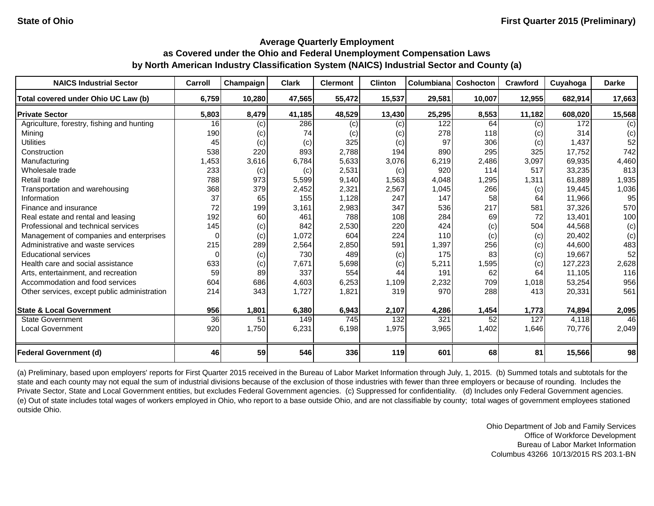| <b>NAICS Industrial Sector</b>               | Carroll         | Champaign | <b>Clark</b> | <b>Clermont</b> | <b>Clinton</b> | Columbiana | Coshocton | <b>Crawford</b> | Cuyahoga | <b>Darke</b> |
|----------------------------------------------|-----------------|-----------|--------------|-----------------|----------------|------------|-----------|-----------------|----------|--------------|
| Total covered under Ohio UC Law (b)          | 6,759           | 10,280    | 47,565       | 55,472          | 15,537         | 29,581     | 10,007    | 12,955          | 682,914  | 17,663       |
| <b>Private Sector</b>                        | 5,803           | 8,479     | 41,185       | 48,529          | 13,430         | 25,295     | 8,553     | 11,182          | 608,020  | 15,568       |
| Agriculture, forestry, fishing and hunting   | 16              | (c)       | 286          | (c)             | (c)            | 122        | 64        | (c)             | 172      | (c)          |
| Mining                                       | 190             | (c)       | 74           | (c)             | (c)            | 278        | 118       | (c)             | 314      | (c)          |
| <b>Utilities</b>                             | 45              | (c)       | (c)          | 325             | (c)            | 97         | 306       | (c)             | 1,437    | 52           |
| Construction                                 | 538             | 220       | 893          | 2,788           | 194            | 890        | 295       | 325             | 17,752   | 742          |
| Manufacturing                                | 1,453           | 3,616     | 6,784        | 5,633           | 3,076          | 6,219      | 2,486     | 3,097           | 69,935   | 4,460        |
| Wholesale trade                              | 233             | (c)       | (c)          | 2,531           | (c)            | 920        | 114       | 517             | 33,235   | 813          |
| Retail trade                                 | 788             | 973       | 5,599        | 9,140           | 1,563          | 4,048      | 1,295     | 1,311           | 61,889   | 1,935        |
| Transportation and warehousing               | 368             | 379       | 2,452        | 2,321           | 2,567          | 1,045      | 266       | (c)             | 19,445   | 1,036        |
| Information                                  | 37              | 65        | 155          | 1,128           | 247            | 147        | 58        | 64              | 11,966   | 95           |
| Finance and insurance                        | 72              | 199       | 3,161        | 2,983           | 347            | 536        | 217       | 581             | 37,326   | 570          |
| Real estate and rental and leasing           | 192             | 60        | 461          | 788             | 108            | 284        | 69        | 72              | 13,401   | 100          |
| Professional and technical services          | 145             | (c)       | 842          | 2,530           | 220            | 424        | (c)       | 504             | 44,568   | (c)          |
| Management of companies and enterprises      | $\Omega$        | (c)       | 1,072        | 604             | 224            | 110        | (c)       | (c)             | 20,402   | (c)          |
| Administrative and waste services            | 215             | 289       | 2,564        | 2,850           | 591            | 1,397      | 256       | (c)             | 44,600   | 483          |
| <b>Educational services</b>                  | 0               | (c)       | 730          | 489             | (c)            | 175        | 83        | (c)             | 19,667   | 52           |
| Health care and social assistance            | 633             | (c)       | 7,671        | 5,698           | (c)            | 5,211      | 1,595     | (c)             | 127,223  | 2,628        |
| Arts, entertainment, and recreation          | 59              | 89        | 337          | 554             | 44             | 191        | 62        | 64              | 11,105   | 116          |
| Accommodation and food services              | 604             | 686       | 4,603        | 6,253           | 1,109          | 2,232      | 709       | 1,018           | 53,254   | 956          |
| Other services, except public administration | 214             | 343       | 1,727        | 1,821           | 319            | 970        | 288       | 413             | 20,331   | 561          |
| <b>State &amp; Local Government</b>          | 956             | 1,801     | 6,380        | 6,943           | 2,107          | 4,286      | 1,454     | 1,773           | 74,894   | 2,095        |
| <b>State Government</b>                      | $\overline{36}$ | 51        | 149          | 745             | 132            | 321        | 52        | 127             | 4,118    | 46           |
| <b>Local Government</b>                      | 920             | 1,750     | 6,231        | 6,198           | 1,975          | 3,965      | 1,402     | 1,646           | 70,776   | 2,049        |
| <b>Federal Government (d)</b>                | 46              | 59        | 546          | 336             | 119            | 601        | 68        | 81              | 15,566   | 98           |

(a) Preliminary, based upon employers' reports for First Quarter 2015 received in the Bureau of Labor Market Information through July, 1, 2015. (b) Summed totals and subtotals for the state and each county may not equal the sum of industrial divisions because of the exclusion of those industries with fewer than three employers or because of rounding. Includes the Private Sector, State and Local Government entities, but excludes Federal Government agencies. (c) Suppressed for confidentiality. (d) Includes only Federal Government agencies. (e) Out of state includes total wages of workers employed in Ohio, who report to a base outside Ohio, and are not classifiable by county; total wages of government employees stationed outside Ohio.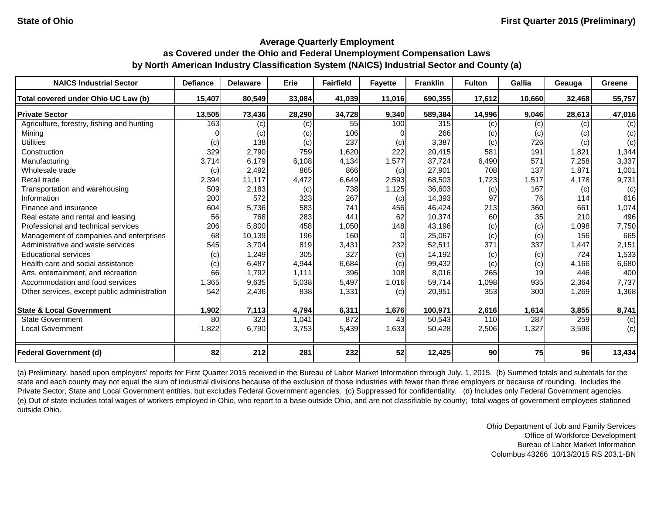| <b>NAICS Industrial Sector</b>               | <b>Defiance</b> | <b>Delaware</b>            | Erie   | <b>Fairfield</b> | <b>Fayette</b> | <b>Franklin</b> | <b>Fulton</b> | Gallia | Geauga | Greene |
|----------------------------------------------|-----------------|----------------------------|--------|------------------|----------------|-----------------|---------------|--------|--------|--------|
| Total covered under Ohio UC Law (b)          | 15,407          | 80,549                     | 33,084 | 41,039           | 11,016         | 690,355         | 17,612        | 10,660 | 32,468 | 55,757 |
| <b>Private Sector</b>                        | 13,505          | 73,436                     | 28,290 | 34,728           | 9,340          | 589,384         | 14,996        | 9,046  | 28,613 | 47,016 |
| Agriculture, forestry, fishing and hunting   | 163             | $\left( \mathrm{c}\right)$ | (c)    | 55               | 100            | 315             | (c)           | (c)    | (c)    | (c)    |
| Mining                                       |                 | (c)                        | (c)    | 106              |                | 266             | (c)           | (c)    | (c)    | (c)    |
| <b>Utilities</b>                             | (c)             | 138                        | (c)    | 237              | (c)            | 3,387           | (c)           | 726    | (c)    | (c)    |
| Construction                                 | 329             | 2,790                      | 759    | 1,620            | 222            | 20,415          | 581           | 191    | 1,821  | 1,344  |
| Manufacturing                                | 3,714           | 6,179                      | 6,108  | 4,134            | 1,577          | 37,724          | 6,490         | 571    | 7,258  | 3,337  |
| Wholesale trade                              | (c)             | 2,492                      | 865    | 866              | (c)            | 27,901          | 708           | 137    | 1,871  | 1,001  |
| Retail trade                                 | 2,394           | 11,117                     | 4,472  | 6,649            | 2,593          | 68,503          | 1,723         | 1,517  | 4,178  | 9,731  |
| Transportation and warehousing               | 509             | 2,183                      | (c)    | 738              | 1,125          | 36,603          | (c)           | 167    | (c)    | (c)    |
| Information                                  | 200             | 572                        | 323    | 267              | (c)            | 14,393          | 97            | 76     | 114    | 616    |
| Finance and insurance                        | 604             | 5,736                      | 583    | 741              | 456            | 46,424          | 213           | 360    | 661    | 1,074  |
| Real estate and rental and leasing           | 56              | 768                        | 283    | 441              | 62             | 10,374          | 60            | 35     | 210    | 496    |
| Professional and technical services          | 206             | 5,800                      | 458    | 1,050            | 148            | 43,196          | (c)           | (c)    | 1,098  | 7,750  |
| Management of companies and enterprises      | 68              | 10,139                     | 196    | 160              | 0              | 25,067          | (c)           | (c)    | 156    | 665    |
| Administrative and waste services            | 545             | 3,704                      | 819    | 3,431            | 232            | 52,511          | 371           | 337    | 1,447  | 2,151  |
| <b>Educational services</b>                  | (c)             | 1,249                      | 305    | 327              | (c)            | 14,192          | (c)           | (c)    | 724    | 1,533  |
| Health care and social assistance            | (c)             | 6,487                      | 4,944  | 6,684            | (c)            | 99,432          | (c)           | (c)    | 4,166  | 6,680  |
| Arts, entertainment, and recreation          | 66              | 1,792                      | 1,111  | 396              | 108            | 8,016           | 265           | 19     | 446    | 400    |
| Accommodation and food services              | 1,365           | 9,635                      | 5,038  | 5,497            | 1,016          | 59,714          | 1,098         | 935    | 2,364  | 7,737  |
| Other services, except public administration | 542             | 2,436                      | 838    | 1,331            | (c)            | 20,951          | 353           | 300    | 1,269  | 1,368  |
| <b>State &amp; Local Government</b>          | 1,902           | 7,113                      | 4,794  | 6,311            | 1,676          | 100,971         | 2,616         | 1,614  | 3,855  | 8,741  |
| State Government                             | 80              | 323                        | 1,041  | 872              | 43             | 50,543          | 110           | 287    | 259    | (c)    |
| <b>Local Government</b>                      | 1,822           | 6,790                      | 3,753  | 5,439            | 1,633          | 50,428          | 2,506         | 1,327  | 3,596  | (c)    |
| <b>Federal Government (d)</b>                | 82              | 212                        | 281    | 232              | 52             | 12,425          | 90            | 75     | 96     | 13,434 |

(a) Preliminary, based upon employers' reports for First Quarter 2015 received in the Bureau of Labor Market Information through July, 1, 2015. (b) Summed totals and subtotals for the state and each county may not equal the sum of industrial divisions because of the exclusion of those industries with fewer than three employers or because of rounding. Includes the Private Sector, State and Local Government entities, but excludes Federal Government agencies. (c) Suppressed for confidentiality. (d) Includes only Federal Government agencies. (e) Out of state includes total wages of workers employed in Ohio, who report to a base outside Ohio, and are not classifiable by county; total wages of government employees stationed outside Ohio.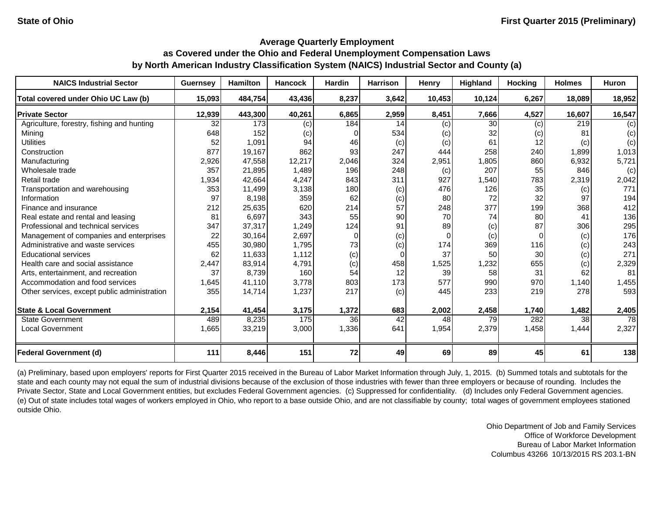| <b>NAICS Industrial Sector</b>               | <b>Guernsey</b> | <b>Hamilton</b> | <b>Hancock</b> | <b>Hardin</b> | <b>Harrison</b> | Henry    | Highland | <b>Hocking</b> | <b>Holmes</b> | Huron           |
|----------------------------------------------|-----------------|-----------------|----------------|---------------|-----------------|----------|----------|----------------|---------------|-----------------|
| Total covered under Ohio UC Law (b)          | 15,093          | 484,754         | 43,436         | 8,237         | 3,642           | 10,453   | 10,124   | 6,267          | 18,089        | 18,952          |
| <b>Private Sector</b>                        | 12,939          | 443,300         | 40,261         | 6,865         | 2,959           | 8,451    | 7,666    | 4,527          | 16,607        | 16,547          |
| Agriculture, forestry, fishing and hunting   | 32              | 173             | (c)            | 184           | 14              | (c)      | 30       | (c)            | 219           | (c)             |
| Mining                                       | 648             | 152             | (c)            | 0             | 534             | (c)      | 32       | (c)            | 81            | (c)             |
| <b>Utilities</b>                             | 52              | 1,091           | 94             | 46            | (c)             | (c)      | 61       | 12             | (c)           | (c)             |
| Construction                                 | 877             | 19,167          | 862            | 93            | 247             | 444      | 258      | 240            | 1,899         | 1,013           |
| Manufacturing                                | 2,926           | 47,558          | 12,217         | 2,046         | 324             | 2,951    | 1,805    | 860            | 6,932         | 5,721           |
| Wholesale trade                              | 357             | 21,895          | 1,489          | 196           | 248             | (c)      | 207      | 55             | 846           | (c)             |
| Retail trade                                 | 1,934           | 42,664          | 4,247          | 843           | 311             | 927      | 1,540    | 783            | 2,319         | 2,042           |
| Transportation and warehousing               | 353             | 11,499          | 3,138          | 180           | (c)             | 476      | 126      | 35             | (c)           | 771             |
| Information                                  | 97              | 8,198           | 359            | 62            | (c)             | 80       | 72       | 32             | 97            | 194             |
| Finance and insurance                        | 212             | 25,635          | 620            | 214           | 57              | 248      | 377      | 199            | 368           | 412             |
| Real estate and rental and leasing           | 81              | 6,697           | 343            | 55            | 90              | 70       | 74       | 80             | 41            | 136             |
| Professional and technical services          | 347             | 37,317          | 1,249          | 124           | 91              | 89       | (c)      | 87             | 306           | 295             |
| Management of companies and enterprises      | 22              | 30,164          | 2,697          | $\Omega$      | (c)             | $\Omega$ | (c)      |                | (c)           | 176             |
| Administrative and waste services            | 455             | 30,980          | 1,795          | 73            | (c)             | 174      | 369      | 116            | (c)           | 243             |
| <b>Educational services</b>                  | 62              | 11,633          | 1,112          | (c)           | $\Omega$        | 37       | 50       | 30             | (c)           | 271             |
| Health care and social assistance            | 2.447           | 83,914          | 4.791          | (c)           | 458             | 1,525    | 1,232    | 655            | (c)           | 2,329           |
| Arts, entertainment, and recreation          | 37              | 8,739           | 160            | 54            | 12              | 39       | 58       | 31             | 62            | 81              |
| Accommodation and food services              | 1,645           | 41,110          | 3,778          | 803           | 173             | 577      | 990      | 970            | 1,140         | 1,455           |
| Other services, except public administration | 355             | 14,714          | 1,237          | 217           | (c)             | 445      | 233      | 219            | 278           | 593             |
| <b>State &amp; Local Government</b>          | 2,154           | 41,454          | 3,175          | 1,372         | 683             | 2,002    | 2,458    | 1,740          | 1,482         | 2,405           |
| <b>State Government</b>                      | 489             | 8,235           | 175            | 36            | 42              | 48       | 79       | 282            | 38            | $\overline{78}$ |
| <b>Local Government</b>                      | 1,665           | 33,219          | 3,000          | 1,336         | 641             | 1,954    | 2,379    | 1,458          | 1,444         | 2,327           |
| <b>Federal Government (d)</b>                | 111             | 8,446           | 151            | 72            | 49              | 69       | 89       | 45             | 61            | 138             |

(a) Preliminary, based upon employers' reports for First Quarter 2015 received in the Bureau of Labor Market Information through July, 1, 2015. (b) Summed totals and subtotals for the state and each county may not equal the sum of industrial divisions because of the exclusion of those industries with fewer than three employers or because of rounding. Includes the Private Sector, State and Local Government entities, but excludes Federal Government agencies. (c) Suppressed for confidentiality. (d) Includes only Federal Government agencies. (e) Out of state includes total wages of workers employed in Ohio, who report to a base outside Ohio, and are not classifiable by county; total wages of government employees stationed outside Ohio.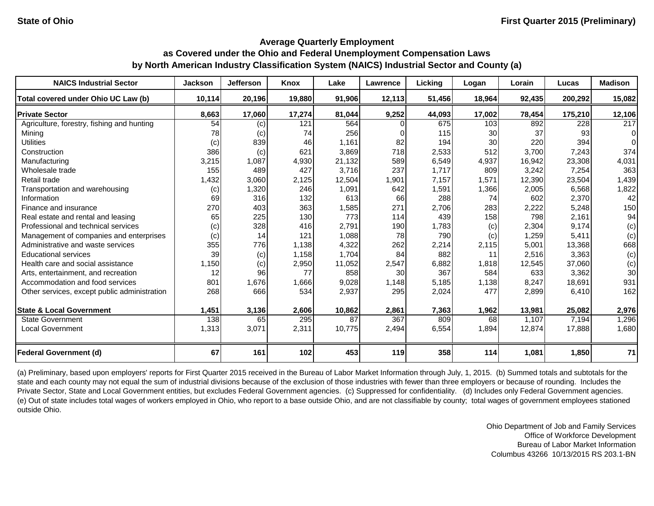| <b>NAICS Industrial Sector</b>               | <b>Jackson</b> | <b>Jefferson</b> | Knox   | Lake   | Lawrence | Licking | Logan  | Lorain | Lucas   | <b>Madison</b> |
|----------------------------------------------|----------------|------------------|--------|--------|----------|---------|--------|--------|---------|----------------|
| Total covered under Ohio UC Law (b)          | 10,114         | 20,196           | 19,880 | 91,906 | 12,113   | 51,456  | 18,964 | 92,435 | 200,292 | 15,082         |
| <b>Private Sector</b>                        | 8,663          | 17,060           | 17,274 | 81,044 | 9,252    | 44,093  | 17,002 | 78,454 | 175,210 | 12,106         |
| Agriculture, forestry, fishing and hunting   | 54             | (c)              | 121    | 564    |          | 675     | 103    | 892    | 228     | 217            |
| Mining                                       | 78             | (c)              | 74     | 256    |          | 115     | 30     | 37     | 93      | 0              |
| <b>Utilities</b>                             | (c)            | 839              | 46     | 1,161  | 82       | 194     | 30     | 220    | 394     |                |
| Construction                                 | 386            | (c)              | 621    | 3,869  | 718      | 2,533   | 512    | 3,700  | 7,243   | 374            |
| Manufacturing                                | 3,215          | 1,087            | 4,930  | 21,132 | 589      | 6,549   | 4,937  | 16,942 | 23,308  | 4,031          |
| Wholesale trade                              | 155            | 489              | 427    | 3,716  | 237      | 1,717   | 809    | 3,242  | 7,254   | 363            |
| Retail trade                                 | 1,432          | 3,060            | 2,125  | 12,504 | 1,901    | 7,157   | 1,571  | 12,390 | 23,504  | 1,439          |
| Transportation and warehousing               | (c)            | 1,320            | 246    | 1,091  | 642      | 1,591   | 1,366  | 2,005  | 6,568   | 1,822          |
| Information                                  | 69             | 316              | 132    | 613    | 66       | 288     | 74     | 602    | 2,370   | 42             |
| Finance and insurance                        | 270            | 403              | 363    | 1,585  | 271      | 2,706   | 283    | 2,222  | 5,248   | 150            |
| Real estate and rental and leasing           | 65             | 225              | 130    | 773    | 114      | 439     | 158    | 798    | 2,161   | 94             |
| Professional and technical services          | (c)            | 328              | 416    | 2,791  | 190      | 1,783   | (c)    | 2,304  | 9.174   | (c)            |
| Management of companies and enterprises      | (c)            | 14               | 121    | 1,088  | 78       | 790     | (c)    | 1,259  | 5,411   | (c)            |
| Administrative and waste services            | 355            | 776              | 1,138  | 4,322  | 262      | 2,214   | 2,115  | 5,001  | 13,368  | 668            |
| <b>Educational services</b>                  | 39             | (c)              | 1,158  | 1,704  | 84       | 882     | 11     | 2,516  | 3,363   | (c)            |
| Health care and social assistance            | 1,150          | (c)              | 2,950  | 11,052 | 2,547    | 6,882   | 1,818  | 12,545 | 37,060  | (c)            |
| Arts, entertainment, and recreation          | 12             | 96               | 77     | 858    | 30       | 367     | 584    | 633    | 3,362   | 30             |
| Accommodation and food services              | 801            | 1,676            | 1,666  | 9,028  | 1,148    | 5,185   | 1,138  | 8,247  | 18,691  | 931            |
| Other services, except public administration | 268            | 666              | 534    | 2,937  | 295      | 2,024   | 477    | 2,899  | 6,410   | 162            |
| <b>State &amp; Local Government</b>          | 1,451          | 3,136            | 2,606  | 10,862 | 2,861    | 7,363   | 1,962  | 13,981 | 25,082  | 2,976          |
| <b>State Government</b>                      | 138            | 65               | 295    | 87     | 367      | 809     | 68     | 1,107  | 7,194   | 1,296          |
| <b>Local Government</b>                      | 1,313          | 3,071            | 2,311  | 10,775 | 2,494    | 6,554   | 1,894  | 12,874 | 17,888  | 1,680          |
| <b>Federal Government (d)</b>                | 67             | 161              | 102    | 453    | 119      | 358     | 114    | 1,081  | 1,850   | 71             |

(a) Preliminary, based upon employers' reports for First Quarter 2015 received in the Bureau of Labor Market Information through July, 1, 2015. (b) Summed totals and subtotals for the state and each county may not equal the sum of industrial divisions because of the exclusion of those industries with fewer than three employers or because of rounding. Includes the Private Sector, State and Local Government entities, but excludes Federal Government agencies. (c) Suppressed for confidentiality. (d) Includes only Federal Government agencies. (e) Out of state includes total wages of workers employed in Ohio, who report to a base outside Ohio, and are not classifiable by county; total wages of government employees stationed outside Ohio.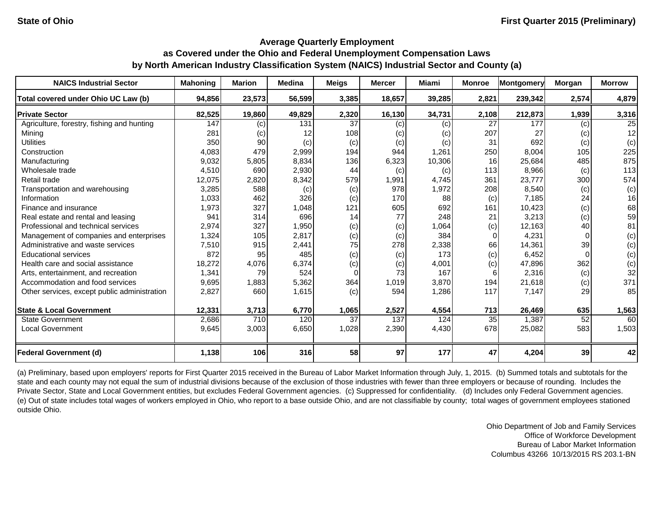| <b>NAICS Industrial Sector</b>               | <b>Mahoning</b> | <b>Marion</b>              | <b>Medina</b> | <b>Meigs</b> | <b>Mercer</b> | Miami  | <b>Monroe</b>   | Montgomery | Morgan | <b>Morrow</b> |
|----------------------------------------------|-----------------|----------------------------|---------------|--------------|---------------|--------|-----------------|------------|--------|---------------|
| Total covered under Ohio UC Law (b)          | 94,856          | 23,573                     | 56,599        | 3,385        | 18,657        | 39,285 | 2,821           | 239,342    | 2,574  | 4,879         |
| <b>Private Sector</b>                        | 82,525          | 19,860                     | 49,829        | 2,320        | 16,130        | 34,731 | 2,108           | 212,873    | 1,939  | 3,316         |
| Agriculture, forestry, fishing and hunting   | 147             | $\left( \mathrm{c}\right)$ | 131           | 37           | (c)           | (c)    | 27              | 177        | (c)    | 25            |
| Mining                                       | 281             | (c)                        | 12            | 108          | (c)           | (c)    | 207             | 27         | (c)    | 12            |
| <b>Utilities</b>                             | 350             | 90                         | (c)           | (c)          | (c)           | (c)    | 31              | 692        | (c)    | (c)           |
| Construction                                 | 4,083           | 479                        | 2,999         | 194          | 944           | 1,261  | 250             | 8,004      | 105    | 225           |
| Manufacturing                                | 9,032           | 5,805                      | 8,834         | 136          | 6,323         | 10,306 | 16              | 25,684     | 485    | 875           |
| Wholesale trade                              | 4,510           | 690                        | 2,930         | 44           | (c)           | (c)    | 113             | 8,966      | (c)    | 113           |
| Retail trade                                 | 12,075          | 2,820                      | 8,342         | 579          | 1,991         | 4,745  | 361             | 23,777     | 300    | 574           |
| Transportation and warehousing               | 3,285           | 588                        | (c)           | (c)          | 978           | 1,972  | 208             | 8,540      | (c)    | (c)           |
| Information                                  | 1,033           | 462                        | 326           | (c)          | 170           | 88     | (c)             | 7,185      | 24     | 16            |
| Finance and insurance                        | 1,973           | 327                        | 1,048         | 121          | 605           | 692    | 161             | 10,423     | (c)    | 68            |
| Real estate and rental and leasing           | 941             | 314                        | 696           | 14           | 77            | 248    | 21              | 3,213      | (c)    | 59            |
| Professional and technical services          | 2,974           | 327                        | 1,950         | (c)          | (c)           | 1,064  | (c)             | 12,163     | 40     | 81            |
| Management of companies and enterprises      | 1,324           | 105                        | 2,817         | (c)          | (c)           | 384    | $\Omega$        | 4,231      |        | (c)           |
| Administrative and waste services            | 7,510           | 915                        | 2,441         | 75           | 278           | 2,338  | 66              | 14,361     | 39     | (c)           |
| <b>Educational services</b>                  | 872             | 95                         | 485           | (c)          | (c)           | 173    | (c)             | 6,452      |        | (c)           |
| Health care and social assistance            | 18,272          | 4,076                      | 6,374         | (c)          | (c)           | 4,001  | (c)             | 47,896     | 362    | (c)           |
| Arts, entertainment, and recreation          | 1,341           | 79                         | 524           | $\Omega$     | 73            | 167    | 6               | 2,316      | (c)    | 32            |
| Accommodation and food services              | 9,695           | 1,883                      | 5,362         | 364          | 1,019         | 3,870  | 194             | 21,618     | (c)    | 371           |
| Other services, except public administration | 2,827           | 660                        | 1,615         | (c)          | 594           | 1,286  | 117             | 7,147      | 29     | 85            |
| <b>State &amp; Local Government</b>          | 12,331          | 3,713                      | 6,770         | 1,065        | 2,527         | 4,554  | 713             | 26,469     | 635    | 1,563         |
| <b>State Government</b>                      | 2,686           | 710                        | 120           | 37           | 137           | 124    | $\overline{35}$ | 1,387      | 52     | 60            |
| <b>Local Government</b>                      | 9,645           | 3,003                      | 6,650         | 1,028        | 2,390         | 4,430  | 678             | 25,082     | 583    | 1,503         |
| <b>Federal Government (d)</b>                | 1,138           | 106                        | 316           | 58           | 97            | 177    | 47              | 4,204      | 39     | 42            |

(a) Preliminary, based upon employers' reports for First Quarter 2015 received in the Bureau of Labor Market Information through July, 1, 2015. (b) Summed totals and subtotals for the state and each county may not equal the sum of industrial divisions because of the exclusion of those industries with fewer than three employers or because of rounding. Includes the Private Sector, State and Local Government entities, but excludes Federal Government agencies. (c) Suppressed for confidentiality. (d) Includes only Federal Government agencies. (e) Out of state includes total wages of workers employed in Ohio, who report to a base outside Ohio, and are not classifiable by county; total wages of government employees stationed outside Ohio.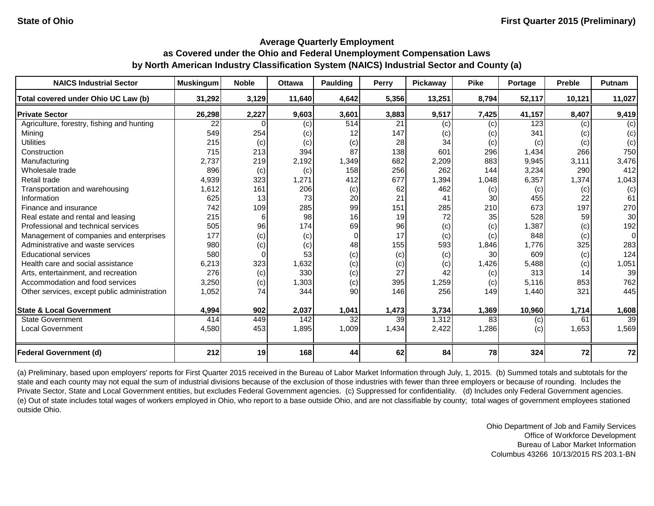| <b>NAICS Industrial Sector</b>               | <b>Muskingum</b> | <b>Noble</b> | <b>Ottawa</b> | <b>Paulding</b> | Perry | Pickaway | <b>Pike</b> | Portage | <b>Preble</b> | Putnam          |
|----------------------------------------------|------------------|--------------|---------------|-----------------|-------|----------|-------------|---------|---------------|-----------------|
| Total covered under Ohio UC Law (b)          | 31,292           | 3,129        | 11,640        | 4,642           | 5,356 | 13,251   | 8,794       | 52,117  | 10,121        | 11,027          |
| <b>Private Sector</b>                        | 26,298           | 2,227        | 9,603         | 3,601           | 3,883 | 9,517    | 7,425       | 41,157  | 8,407         | 9,419           |
| Agriculture, forestry, fishing and hunting   | 22               |              | (c)           | 514             | 21    | (c)      | (c)         | 123     | (c)           | (c)             |
| Mining                                       | 549              | 254          | (c)           | 12              | 147   | (c)      | (c)         | 341     | (c)           | (c)             |
| <b>Utilities</b>                             | 215              | (c)          | (c)           | (c)             | 28    | 34       | (c)         | (c)     | (c)           | (c)             |
| Construction                                 | 715              | 213          | 394           | 87              | 138   | 601      | 296         | 1,434   | 266           | 750             |
| Manufacturing                                | 2,737            | 219          | 2,192         | 1,349           | 682   | 2,209    | 883         | 9,945   | 3,111         | 3,476           |
| Wholesale trade                              | 896              | (c)          | (c)           | 158             | 256   | 262      | 144         | 3,234   | 290           | 412             |
| Retail trade                                 | 4,939            | 323          | 1,271         | 412             | 677   | 1,394    | 1,048       | 6,357   | 1,374         | 1,043           |
| Transportation and warehousing               | 1,612            | 161          | 206           | (c)             | 62    | 462      | (c)         | (c)     | (c)           | (c)             |
| Information                                  | 625              | 13           | 73            | 20              | 21    | 41       | 30          | 455     | 22            | 61              |
| Finance and insurance                        | 742              | 109          | 285           | 99              | 151   | 285      | 210         | 673     | 197           | 270             |
| Real estate and rental and leasing           | 215              | 6            | 98            | 16              | 19    | 72       | 35          | 528     | 59            | 30              |
| Professional and technical services          | 505              | 96           | 174           | 69              | 96    | (c)      | (c)         | 1,387   | (c)           | 192             |
| Management of companies and enterprises      | 177              | (c)          | (c)           | $\Omega$        | 17    | (c)      | (c)         | 848     | (c)           | $\Omega$        |
| Administrative and waste services            | 980              | (c)          | (c)           | 48              | 155   | 593      | 1,846       | 1,776   | 325           | 283             |
| <b>Educational services</b>                  | 580              | $\Omega$     | 53            | (c)             | (c)   | (c)      | 30          | 609     | (c)           | 124             |
| Health care and social assistance            | 6,213            | 323          | 1,632         | (c)             | (c)   | (c)      | 1,426       | 5,488   | (c)           | 1,051           |
| Arts, entertainment, and recreation          | 276              | (c)          | 330           | (c)             | 27    | 42       | (c)         | 313     | 14            | 39              |
| Accommodation and food services              | 3,250            | (c)          | 1,303         | (c)             | 395   | 1,259    | (c)         | 5,116   | 853           | 762             |
| Other services, except public administration | 1,052            | 74           | 344           | 90              | 146   | 256      | 149         | 1,440   | 321           | 445             |
| <b>State &amp; Local Government</b>          | 4,994            | 902          | 2,037         | 1,041           | 1,473 | 3,734    | 1,369       | 10,960  | 1,714         | 1,608           |
| <b>State Government</b>                      | 414              | 449          | 142           | 32              | 39    | 1,312    | 83          | (c)     | 61            | $\overline{39}$ |
| <b>Local Government</b>                      | 4,580            | 453          | 1,895         | 1,009           | 1,434 | 2,422    | 1,286       | (c)     | 1,653         | 1,569           |
| <b>Federal Government (d)</b>                | 212              | 19           | 168           | 44              | 62    | 84       | 78          | 324     | 72            | 72              |

(a) Preliminary, based upon employers' reports for First Quarter 2015 received in the Bureau of Labor Market Information through July, 1, 2015. (b) Summed totals and subtotals for the state and each county may not equal the sum of industrial divisions because of the exclusion of those industries with fewer than three employers or because of rounding. Includes the Private Sector, State and Local Government entities, but excludes Federal Government agencies. (c) Suppressed for confidentiality. (d) Includes only Federal Government agencies. (e) Out of state includes total wages of workers employed in Ohio, who report to a base outside Ohio, and are not classifiable by county; total wages of government employees stationed outside Ohio.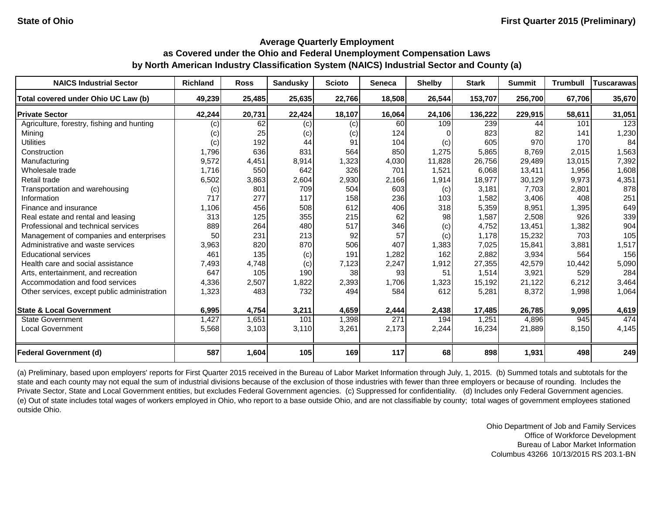| <b>NAICS Industrial Sector</b>               | <b>Richland</b> | <b>Ross</b> | <b>Sandusky</b> | <b>Scioto</b> | <b>Seneca</b> | <b>Shelby</b> | <b>Stark</b> | <b>Summit</b> | <b>Trumbull</b> | Tuscarawas |
|----------------------------------------------|-----------------|-------------|-----------------|---------------|---------------|---------------|--------------|---------------|-----------------|------------|
| Total covered under Ohio UC Law (b)          | 49,239          | 25,485      | 25,635          | 22,766        | 18,508        | 26,544        | 153,707      | 256,700       | 67,706          | 35,670     |
| <b>Private Sector</b>                        | 42,244          | 20,731      | 22,424          | 18,107        | 16,064        | 24,106        | 136,222      | 229,915       | 58,611          | 31,051     |
| Agriculture, forestry, fishing and hunting   | (c)             | 62          | (c)             | (c)           | 60            | 109           | 239          | 44            | 101             | 123        |
| Mining                                       | (c)             | 25          | (c)             | (c)           | 124           | $\Omega$      | 823          | 82            | 141             | 1,230      |
| <b>Utilities</b>                             | (c)             | 192         | 44              | 91            | 104           | (c)           | 605          | 970           | 170             | 84         |
| Construction                                 | 1,796           | 636         | 831             | 564           | 850           | 1,275         | 5,865        | 8,769         | 2,015           | 1,563      |
| Manufacturing                                | 9,572           | 4,451       | 8,914           | 1,323         | 4,030         | 11,828        | 26,756       | 29,489        | 13,015          | 7,392      |
| Wholesale trade                              | 1,716           | 550         | 642             | 326           | 701           | 1,521         | 6,068        | 13,411        | 1,956           | 1,608      |
| Retail trade                                 | 6,502           | 3,863       | 2,604           | 2,930         | 2,166         | 1,914         | 18,977       | 30,129        | 9,973           | 4,351      |
| Transportation and warehousing               | (c)             | 801         | 709             | 504           | 603           | (c)           | 3,181        | 7,703         | 2,801           | 878        |
| Information                                  | 717             | 277         | 117             | 158           | 236           | 103           | 1,582        | 3,406         | 408             | 251        |
| Finance and insurance                        | 1,106           | 456         | 508             | 612           | 406           | 318           | 5,359        | 8,951         | 1,395           | 649        |
| Real estate and rental and leasing           | 313             | 125         | 355             | 215           | 62            | 98            | 1,587        | 2,508         | 926             | 339        |
| Professional and technical services          | 889             | 264         | 480             | 517           | 346           | (c)           | 4,752        | 13,451        | 1,382           | 904        |
| Management of companies and enterprises      | 50              | 231         | 213             | 92            | 57            | (c)           | 1,178        | 15,232        | 703             | 105        |
| Administrative and waste services            | 3,963           | 820         | 870             | 506           | 407           | 1,383         | 7,025        | 15,841        | 3,881           | 1,517      |
| <b>Educational services</b>                  | 461             | 135         | (c)             | 191           | 1,282         | 162           | 2,882        | 3,934         | 564             | 156        |
| Health care and social assistance            | 7,493           | 4,748       | (c)             | 7,123         | 2,247         | 1,912         | 27,355       | 42,579        | 10,442          | 5,090      |
| Arts, entertainment, and recreation          | 647             | 105         | 190             | 38            | 93            | 51            | 1,514        | 3,921         | 529             | 284        |
| Accommodation and food services              | 4,336           | 2,507       | 1,822           | 2,393         | 1,706         | 1,323         | 15,192       | 21,122        | 6,212           | 3,464      |
| Other services, except public administration | 1,323           | 483         | 732             | 494           | 584           | 612           | 5,281        | 8,372         | 1,998           | 1,064      |
|                                              |                 |             |                 |               |               |               |              |               |                 |            |
| <b>State &amp; Local Government</b>          | 6,995           | 4,754       | 3,211           | 4,659         | 2,444         | 2,438         | 17,485       | 26,785        | 9,095           | 4,619      |
| <b>State Government</b>                      | 1,427           | 1,651       | 101             | 1,398         | 271           | 194           | 1,251        | 4,896         | 945             | 474        |
| <b>Local Government</b>                      | 5,568           | 3,103       | 3,110           | 3,261         | 2,173         | 2,244         | 16,234       | 21,889        | 8,150           | 4,145      |
| <b>Federal Government (d)</b>                | 587             | 1,604       | 105             | 169           | 117           | 68            | 898          | 1,931         | 498             | 249        |

(a) Preliminary, based upon employers' reports for First Quarter 2015 received in the Bureau of Labor Market Information through July, 1, 2015. (b) Summed totals and subtotals for the state and each county may not equal the sum of industrial divisions because of the exclusion of those industries with fewer than three employers or because of rounding. Includes the Private Sector, State and Local Government entities, but excludes Federal Government agencies. (c) Suppressed for confidentiality. (d) Includes only Federal Government agencies. (e) Out of state includes total wages of workers employed in Ohio, who report to a base outside Ohio, and are not classifiable by county; total wages of government employees stationed outside Ohio.